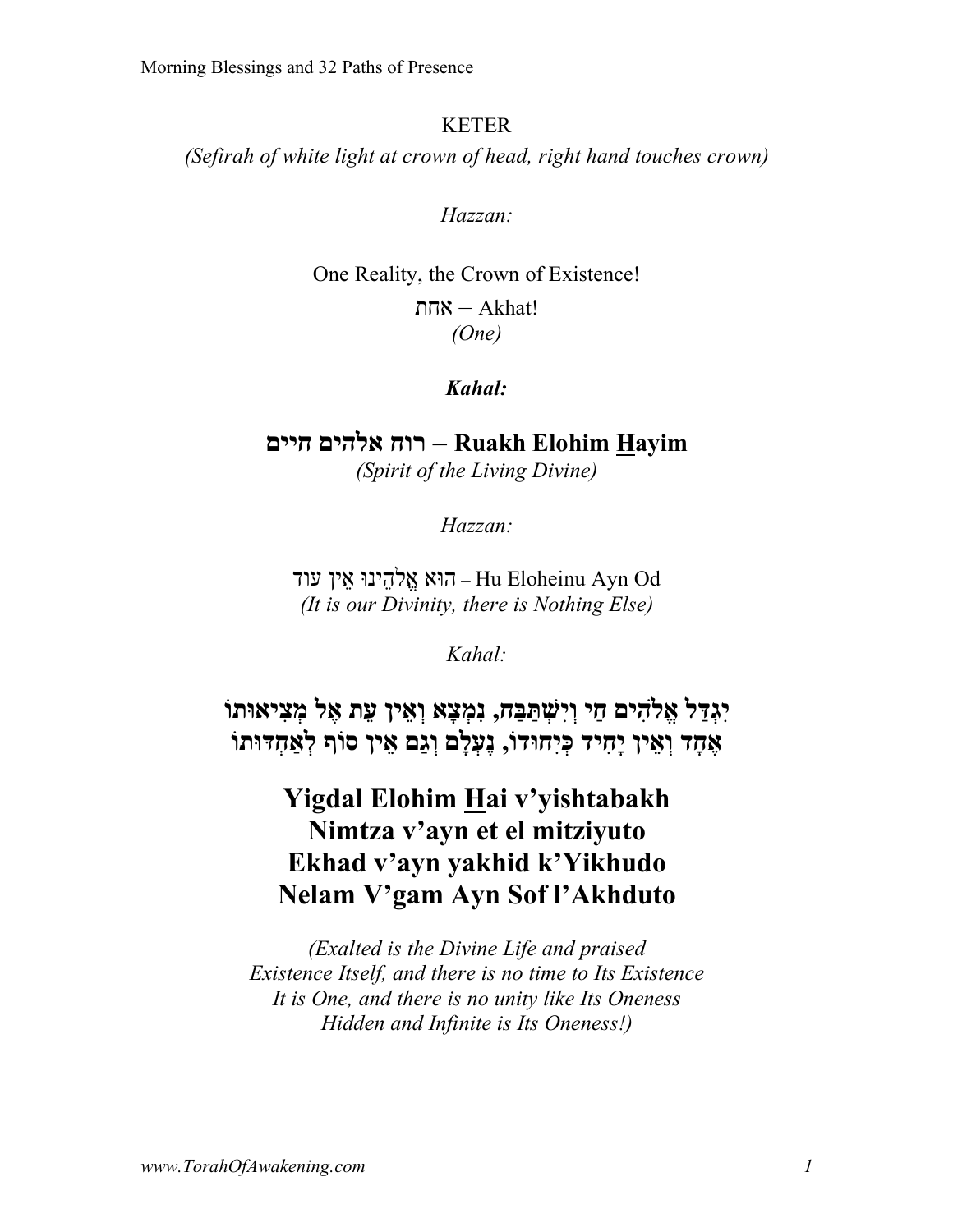#### KETER

*(Sefirah of white light at crown of head, right hand touches crown)*

*Hazzan:*

One Reality, the Crown of Existence! ות – Akhat! *(One)*

### *Kahal:*

**Hayim Elohim Ruakh – חור םיהלא םייח** *(Spirit of the Living Divine)*

*Hazzan:*

עוד – הוּא אֵלהינוּ אין עוד – Hu Eloheinu Ayn Od *(It is our Divinity, there is Nothing Else)*

*Kahal:*

**לַדְּגִי םיִהלֱא יַח חַבַּתְּשִׁיְו , אָצְמִנ ןיֵאְו תֵע לֶא וֹתוּאיִצְמ דָחֶא ןיֵאְו דיִחָי וֹדוּחִיְכּ , םָלְעֶנ םַגְו ןיֵא ףוֹס וֹתוּדְּחאְַל**

# **Yigdal Elohim Hai v'yishtabakh Nimtza v'ayn et el mitziyuto Ekhad v'ayn yakhid k'Yikhudo Nelam V'gam Ayn Sof l'Akhduto**

*(Exalted is the Divine Life and praised Existence Itself, and there is no time to Its Existence It is One, and there is no unity like Its Oneness Hidden and Infinite is Its Oneness!)*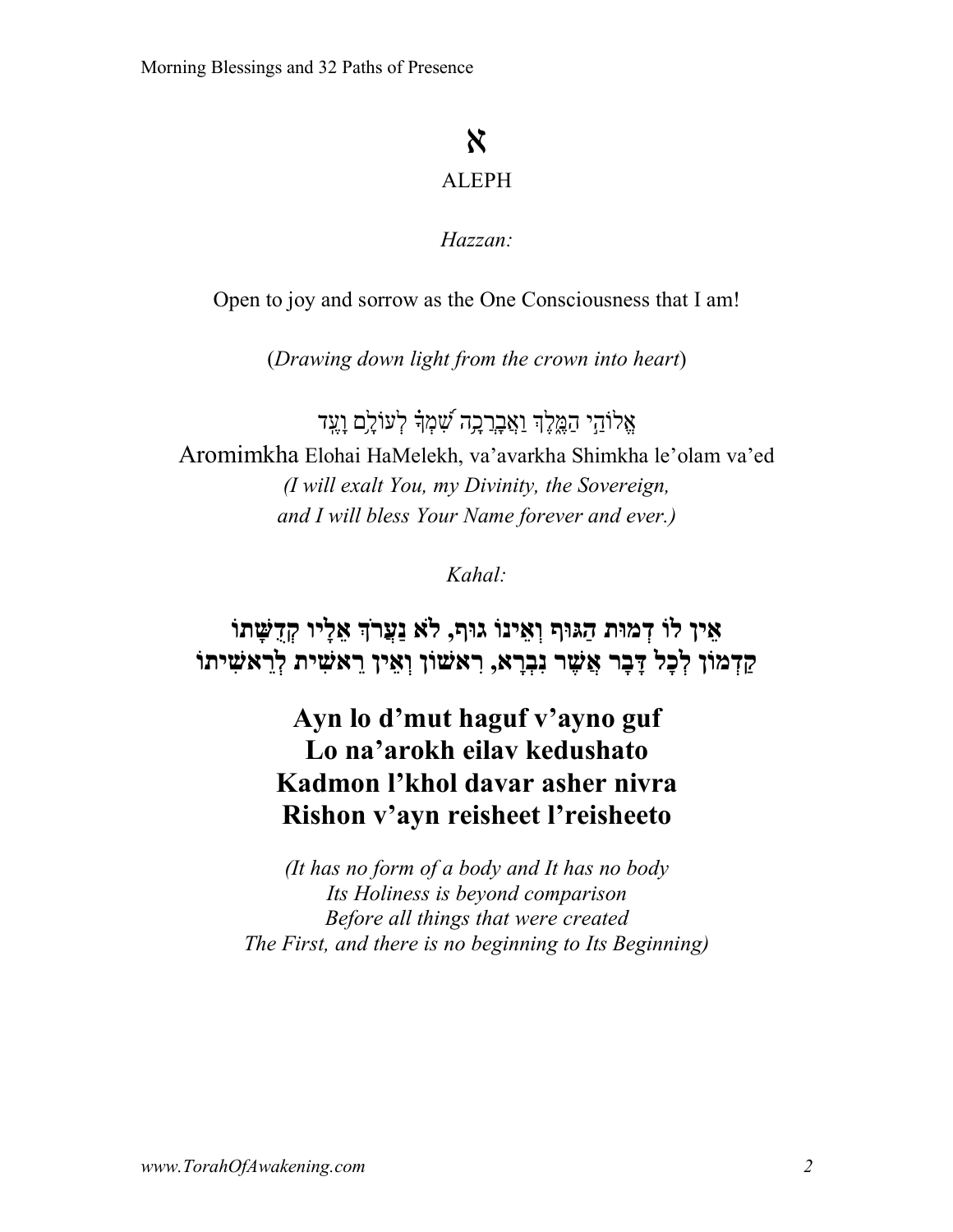# א

### ALEPH

### *Hazzan:*

Open to joy and sorrow as the One Consciousness that I am!

(*Drawing down light from the crown into heart*)

 $\chi$ לוֹהי המֵלֵךְ ו $\chi$ בְרָכֵה שׁמְדָ לְעוֹלֵם וַעֲד Aromimkha Elohai HaMelekh, va'avarkha Shimkha le'olam va'ed *(I will exalt You, my Divinity, the Sovereign, and I will bless Your Name forever and ever.)*

*Kahal:*

# **ןיֵא וֹל תוּמְד ףוּגַּה וֹניֵאְו ףוּג , אל ךֹרֲעַנ ויָלֵא וֹתָשֻּׁדְק ןוֹמְדַק לָכְל רָבָדּ רֶשֲׁא אָרְבִנ , ןוֹשׁאִר ןיֵאְו תיִשׁאֵר וֹתיִשׁאֵרְל**

# **Ayn lo d'mut haguf v'ayno guf Lo na'arokh eilav kedushato Kadmon l'khol davar asher nivra Rishon v'ayn reisheet l'reisheeto**

*(It has no form of a body and It has no body Its Holiness is beyond comparison Before all things that were created The First, and there is no beginning to Its Beginning)*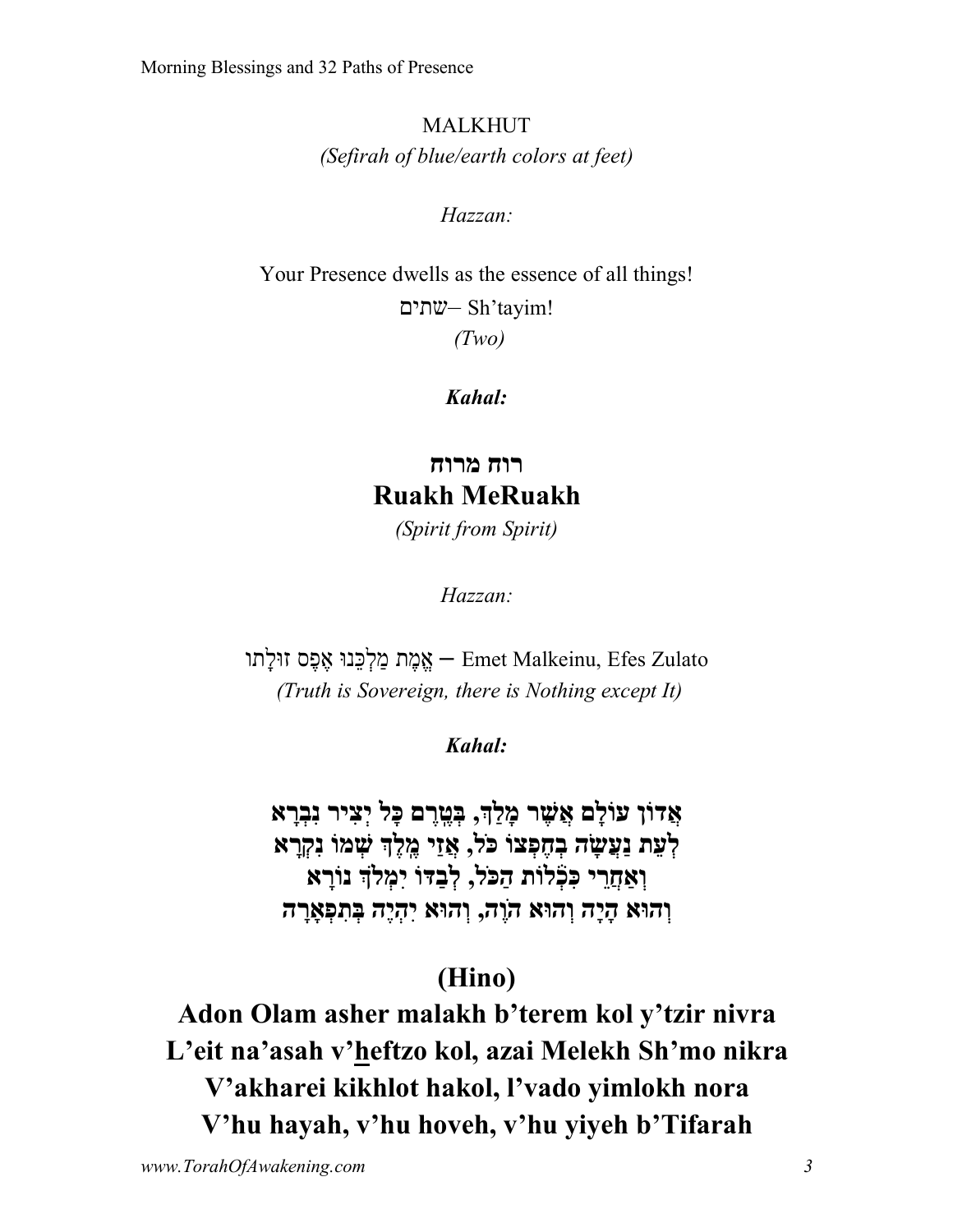MALKHUT *(Sefirah of blue/earth colors at feet)*

*Hazzan:*

Your Presence dwells as the essence of all things! םיתש – Sh'tayim! *(Two)*

*Kahal:*

**חור חורמ Ruakh MeRuakh** *(Spirit from Spirit)*

*Hazzan:*

עְמֶת מַלְכֵּנוּ אֶפֶס זוּלַתוּ – Emet Malkeinu, Efes Zulato *(Truth is Sovereign, there is Nothing except It)*

*Kahal:*

**ןוֹדֲא םָלוֹע רֶשֲׁא ךַלָמ , םֶרֶֽטְבּ לָכּ ריִצְי אָרְבִנ תֵעְל הָשֲׂעַנ וֹצְפֶחְב לֹכּ , יַזֲא ךֶלֶֽמ וֹמְשׁ אָרְקִנ יֵרֲחאְַו תוֹל֒ ְכִכּ לֹכַּה , וֹדַּבְל ךלְמִי אָרוֹנ אוּהְו הָיָה אוּהְו הֶוֹה , אוּהְו הֶיְהִי הָראְָפִתְבּ**

# **(Hino)**

**Adon Olam asher malakh b'terem kol y'tzir nivra L'eit na'asah v'heftzo kol, azai Melekh Sh'mo nikra V'akharei kikhlot hakol, l'vado yimlokh nora V'hu hayah, v'hu hoveh, v'hu yiyeh b'Tifarah**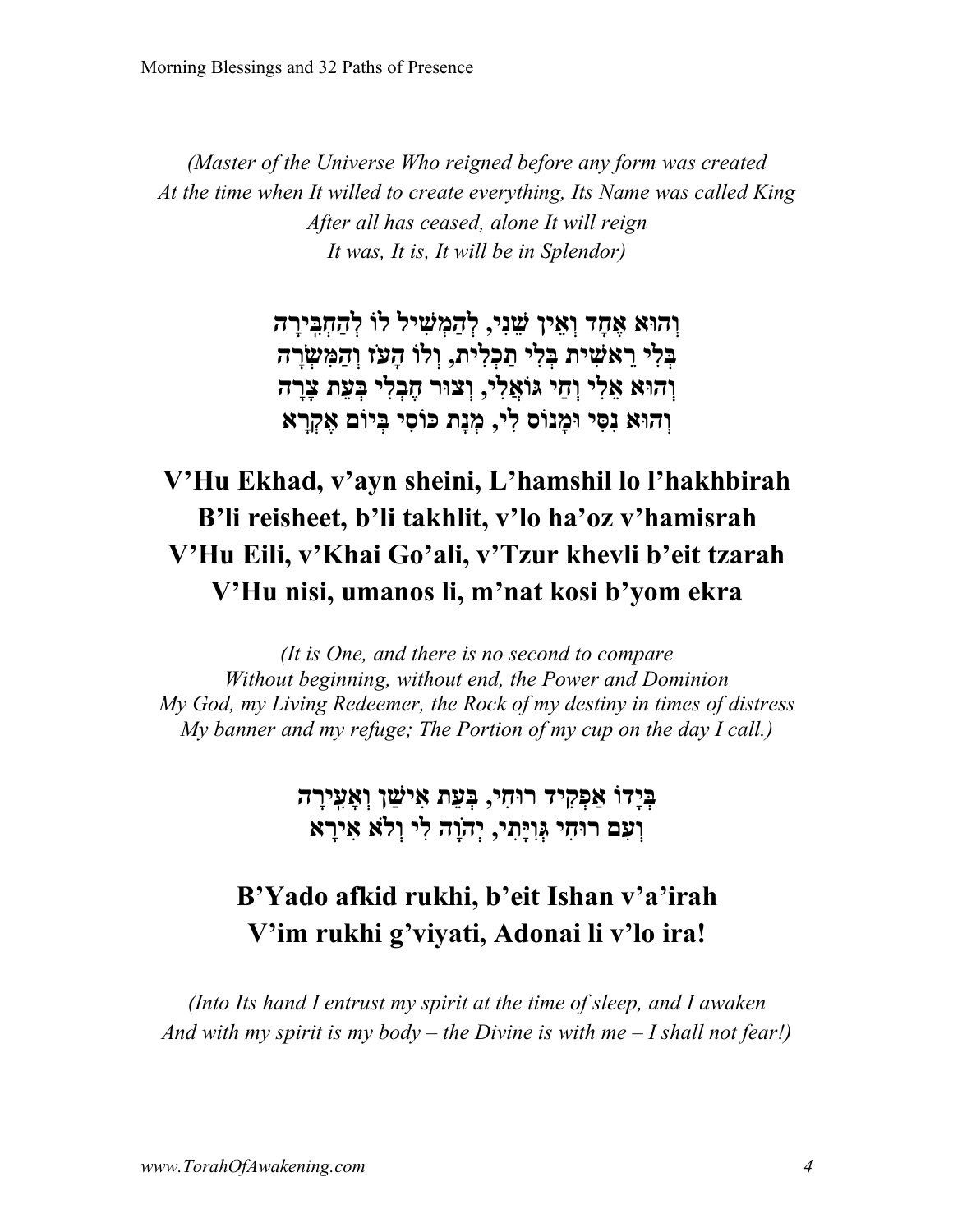*(Master of the Universe Who reigned before any form was created At the time when It willed to create everything, Its Name was called King After all has ceased, alone It will reign It was, It is, It will be in Splendor)*

> **אוּהְו דָחֶא ןיֵאְו יִנֵשׁ , ליִשְׁמַהְל וֹל הָריִֽבְּחַהְל יִלְבּ תיִשׁאֵר יִלְבּ תיִלְכַת , וֹלְו זֹעָה הָרְשִׂמַּהְו אוּהְו יִלֵא יַחְו יִלֲאוֹגּ , רוּצְו יִלְבֶח תֵעְבּ הָרָצ אוּהְו יִסִּנ סוֹנָמוּ יִל , תָנְמ יִסוֹכּ םוֹיְבּ אָרְקֶא**

# **V'Hu Ekhad, v'ayn sheini, L'hamshil lo l'hakhbirah B'li reisheet, b'li takhlit, v'lo ha'oz v'hamisrah V'Hu Eili, v'Khai Go'ali, v'Tzur khevli b'eit tzarah V'Hu nisi, umanos li, m'nat kosi b'yom ekra**

*(It is One, and there is no second to compare Without beginning, without end, the Power and Dominion My God, my Living Redeemer, the Rock of my destiny in times of distress My banner and my refuge; The Portion of my cup on the day I call.)*

> **וֹדָיְבּ דיִקְפאַ יִחוּר , תֵעְבּ ןַשׁיִא הָריִֽעאְָו םִעְו יִחוּר יִתָיִּוְגּ , הָוֹהְי יִל אלְו אָריִא**

# **B'Yado afkid rukhi, b'eit Ishan v'a'irah V'im rukhi g'viyati, Adonai li v'lo ira!**

*(Into Its hand I entrust my spirit at the time of sleep, and I awaken And with my spirit is my body – the Divine is with me – I shall not fear!)*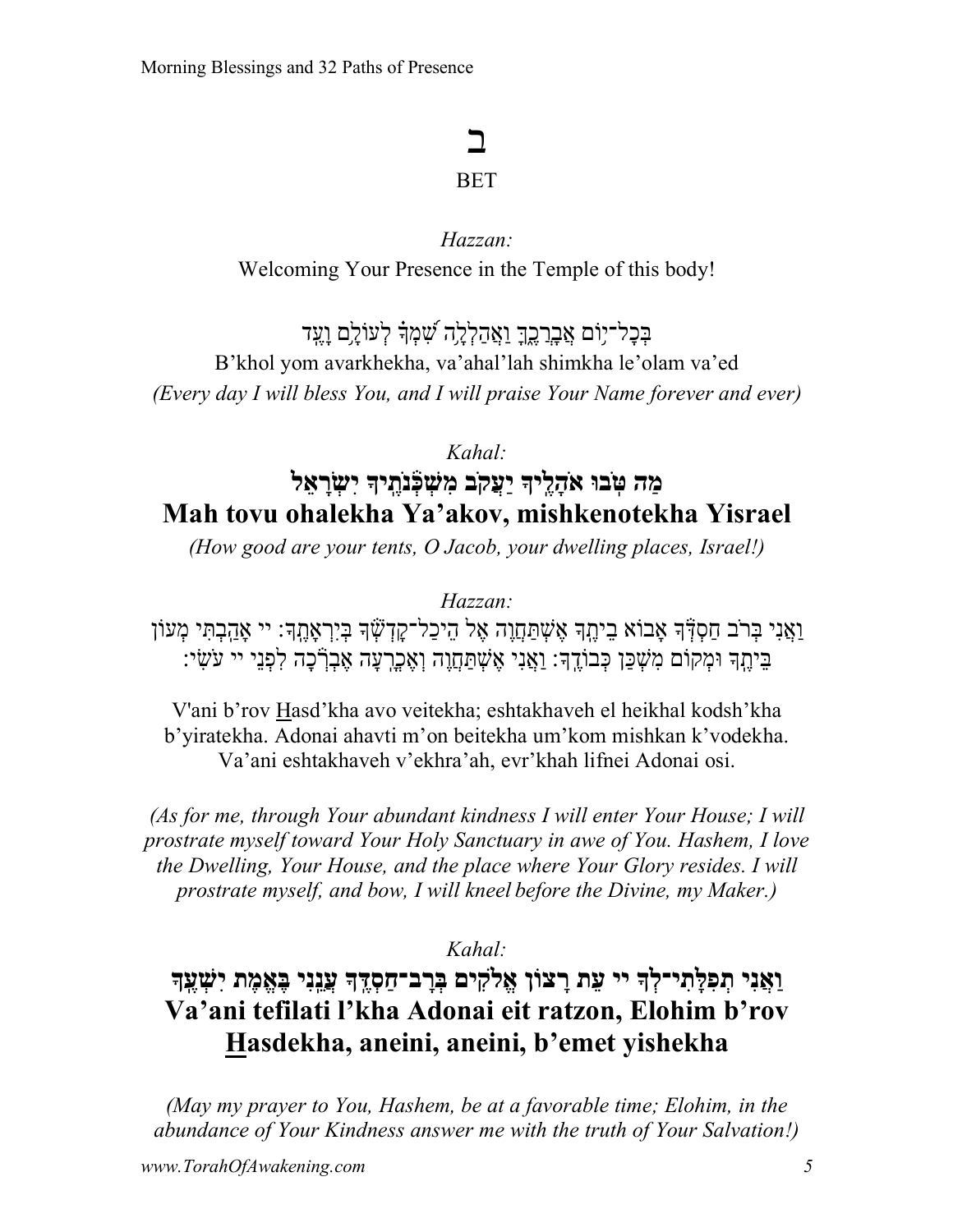# ב

### **BET**

### *Hazzan:* Welcoming Your Presence in the Temple of this body!

בִּכָל־יִוֹם <u>אֲבְרָבֶךְ וַאֲהַלְלָ</u>ה שָׁמְדָ לְעוֹלֵם וַעֵּד B'khol yom avarkhekha, va'ahal'lah shimkha le'olam va'ed *(Every day I will bless You, and I will praise Your Name forever and ever)*

*Kahal:*

# **הַמ וּבֽ ֹטּ ךיֶֽלָהֹא בֹקֲעַי ךיֶֽתֹנ֒ ְכְּשִׁמ לֵאָרְשִׂי Mah tovu ohalekha Ya'akov, mishkenotekha Yisrael**

*(How good are your tents, O Jacob, your dwelling places, Israel!)*

*Hazzan:*

וַאֲנִי בְּרֹב חַסְדְּׁדְּ אָבוֹא בֵיהֶךְ אֶשְׁתַּחֲוָה אֶל הֵיכַל־קַדְשְׁׂךָ בְּיִרְאָהֶךָ׃ יי אָהַבְתִּי מְעוֹן ֶּבִיּהֶֽךָּ וּמְקוֹם מִשְׁכַּן כְּבוֹדֶךְ׃ וַאֲנִי אֶשְׁתַּחֲוֶה וְאֶכְרְעָה אֶבְרְכָה לִפְנֵי יִי עֹשִׂי:

V'ani b'rov Hasd'kha avo veitekha; eshtakhaveh el heikhal kodsh'kha b'yiratekha. Adonai ahavti m'on beitekha um'kom mishkan k'vodekha. Va'ani eshtakhaveh v'ekhra'ah, evr'khah lifnei Adonai osi.

*(As for me, through Your abundant kindness I will enter Your House; I will prostrate myself toward Your Holy Sanctuary in awe of You. Hashem, I love the Dwelling, Your House, and the place where Your Glory resides. I will prostrate myself, and bow, I will kneel before the Divine, my Maker.)*

*Kahal:*

# **יִנֲאַו ךְל־יִתָלִּפְת יי תֵע ןוֹצָר לֱא ִק םי ךֶֽדְּסַח־בָרְבּ יִנֵֽנֲע תֶמֱאֶבּ ךֶֽעְשִׁי Va'ani tefilati l'kha Adonai eit ratzon, Elohim b'rov Hasdekha, aneini, aneini, b'emet yishekha**

*(May my prayer to You, Hashem, be at a favorable time; Elohim, in the abundance of Your Kindness answer me with the truth of Your Salvation!)*

*www.TorahOfAwakening.com 5*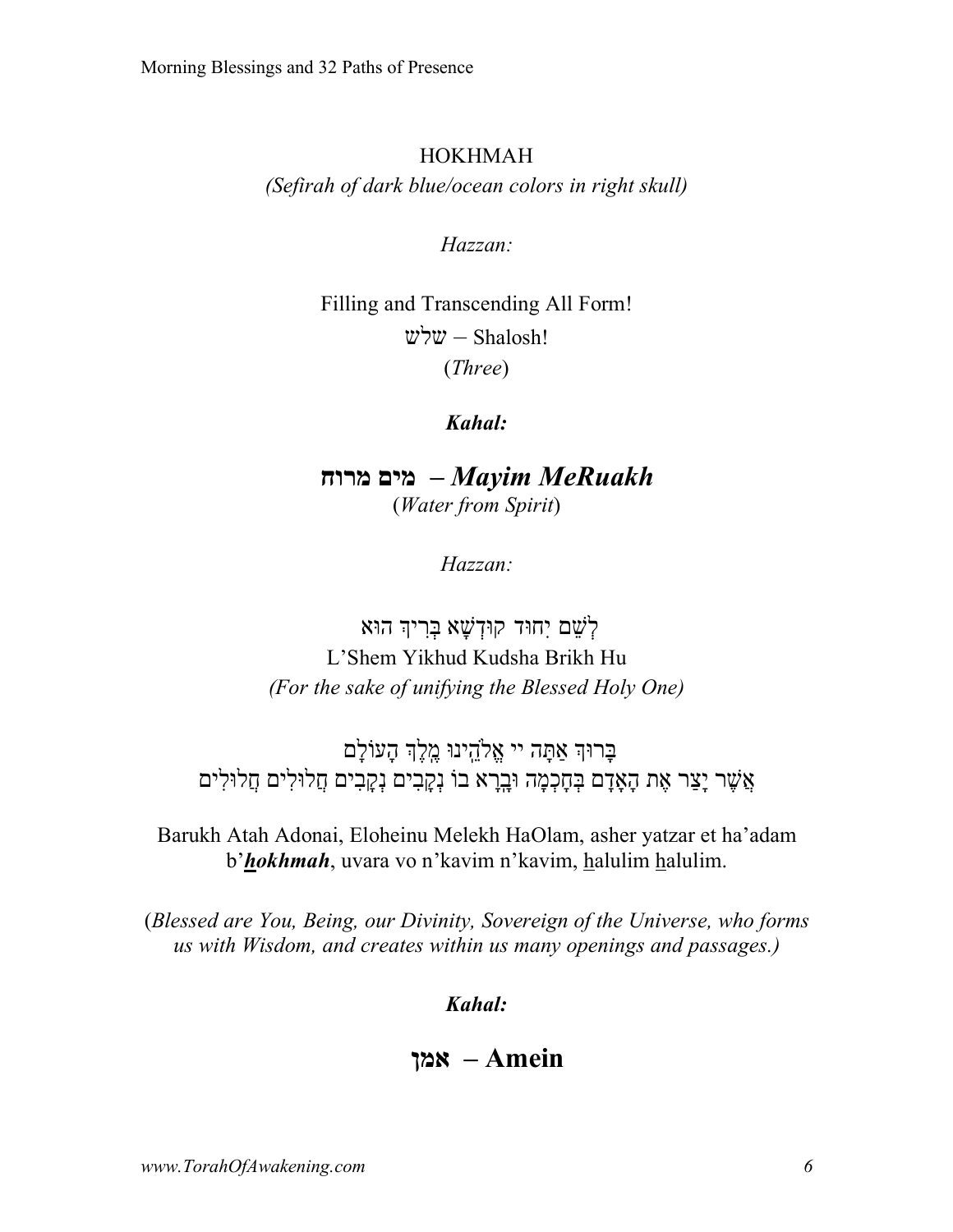#### HOKHMAH

*(Sefirah of dark blue/ocean colors in right skull)*

*Hazzan:*

Filling and Transcending All Form!  $w$ לש $-$  Shalosh! (*Three*)

*Kahal:*

*MeRuakh Mayim –* **םימ חורמ** (*Water from Spirit*)

*Hazzan:*

ַלְשֶׁם יְחוּד קוּדְשָׁא בְּרִיךְ הוּא L'Shem Yikhud Kudsha Brikh Hu *(For the sake of unifying the Blessed Holy One)*

בָרוּךְ אַתָּה יי אֱלֹהֻינוּ מֶלֶךְ הָעוֹלָם אֲשֶׁר יָצַר אֶת הָאֲדָם בְּחָכְמָה וּבָרָא בוֹ נִקְבִים נִקְבְים חֲלוּלִים חֲלוּלִים

Barukh Atah Adonai, Eloheinu Melekh HaOlam, asher yatzar et ha'adam b'*hokhmah*, uvara vo n'kavim n'kavim, halulim halulim.

(*Blessed are You, Being, our Divinity, Sovereign of the Universe, who forms us with Wisdom, and creates within us many openings and passages.)*

*Kahal:*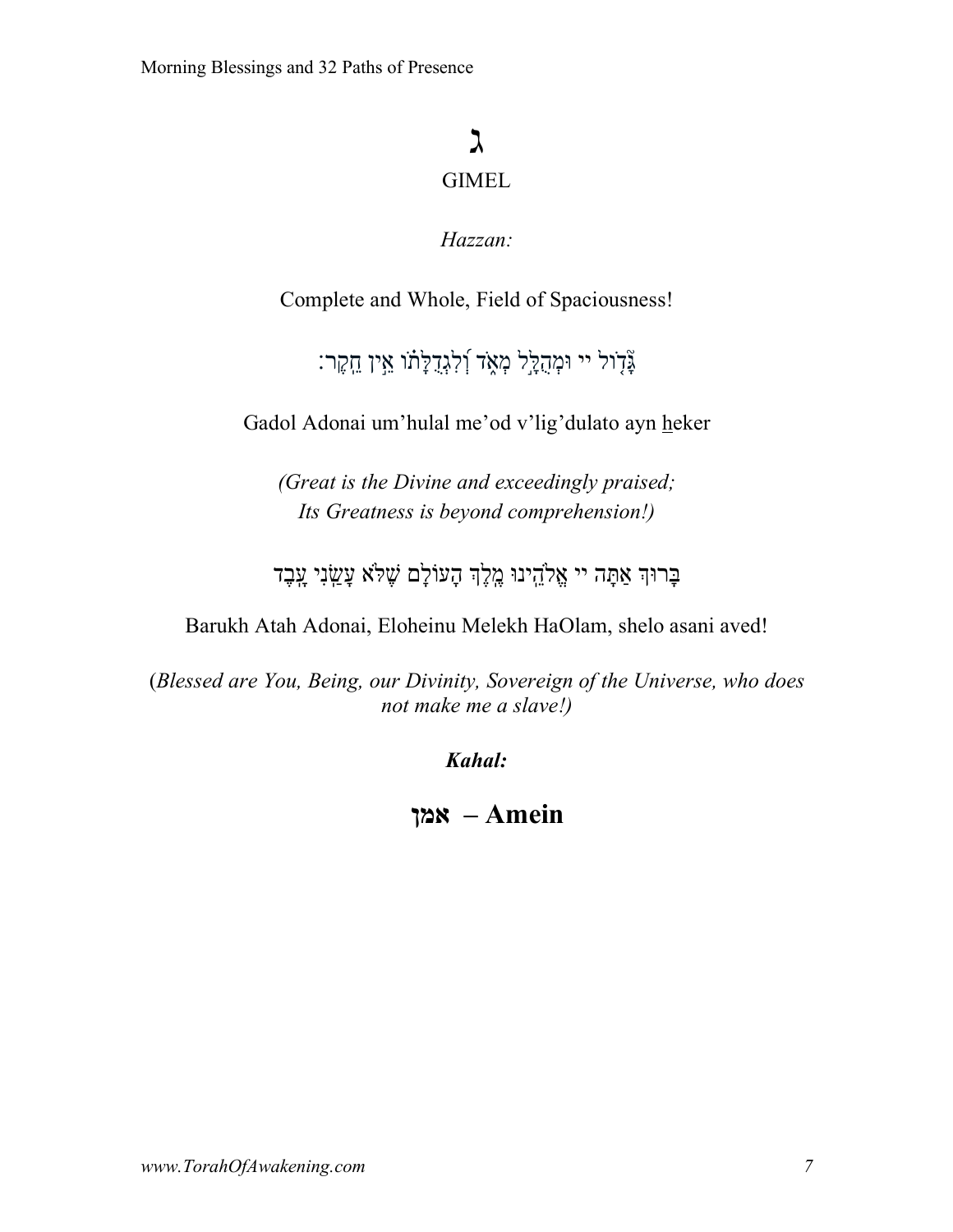# ג GIMEL

### *Hazzan:*

Complete and Whole, Field of Spaciousness!

ְצְ**ּדְוֹל יי וּמְהֻלָּל מְאֶד וְׁלִ**גְדָלָתוֹ אֵין ֵחֶקֶר:

Gadol Adonai um'hulal me'od v'lig'dulato ayn heker

*(Great is the Divine and exceedingly praised; Its Greatness is beyond comprehension!)*

ךוּרָבּ הָתַּא יי וּניֵֽהלֱא ךֶלֶֽמ םָלוֹעָה אלֶשׁ יִנַֽשָׂע דֶבָֽע

Barukh Atah Adonai, Eloheinu Melekh HaOlam, shelo asani aved!

(*Blessed are You, Being, our Divinity, Sovereign of the Universe, who does not make me a slave!)*

*Kahal:*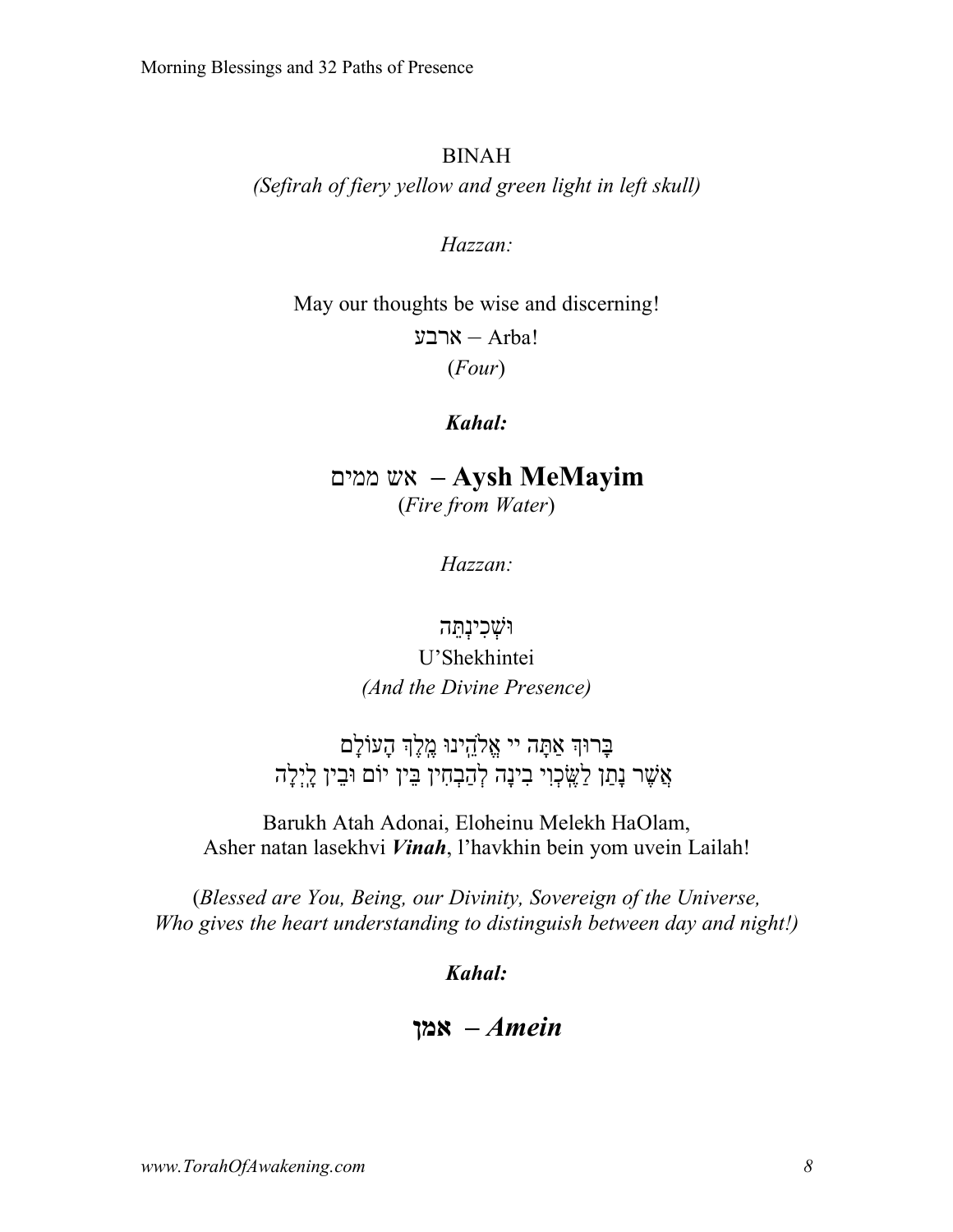#### BINAH

*(Sefirah of fiery yellow and green light in left skull)*

#### *Hazzan:*

May our thoughts be wise and discerning!

 $X -$  Arba! (*Four*)

#### *Kahal:*

**MeMayim Aysh** *–* שא םיממ (*Fire from Water*)

*Hazzan:*

### וֹּשָׁכִינְהֵה U'Shekhintei *(And the Divine Presence)*

ּבָרוּךְ אַתָּה יי אֱלֹהֻינוּ מֶלֶךְ הָעוֹלָם אֲשֶׁר נָתַן לַשֶּׂבְוִי בִינָה לְהַבְחִין בֵּין יוֹם וּבֵין לַיְלָה

Barukh Atah Adonai, Eloheinu Melekh HaOlam, Asher natan lasekhvi *Vinah*, l'havkhin bein yom uvein Lailah!

(*Blessed are You, Being, our Divinity, Sovereign of the Universe, Who gives the heart understanding to distinguish between day and night!)*

*Kahal:*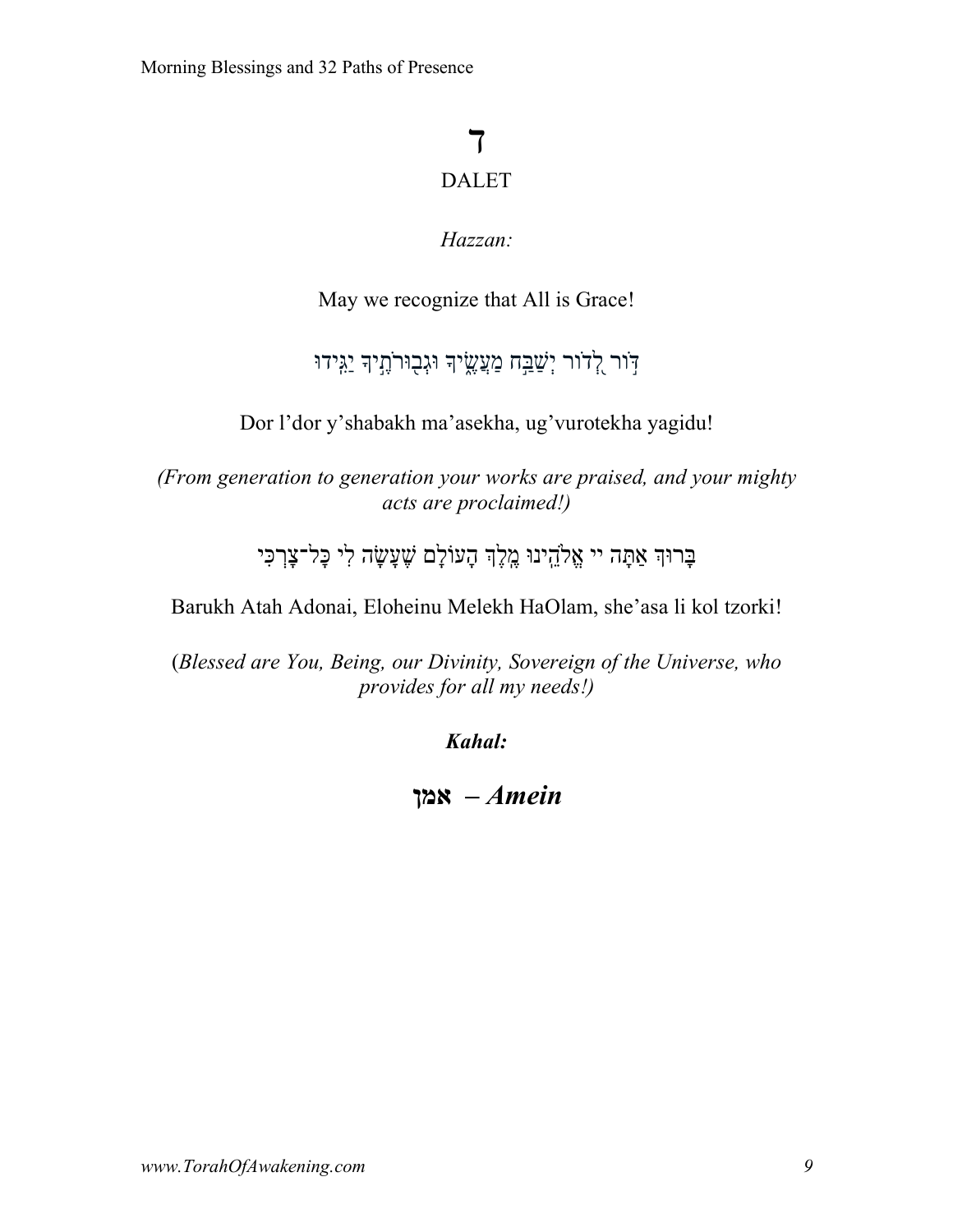# ד DALET

### *Hazzan:*

May we recognize that All is Grace!

# דֹור יְשַׁבָּח מַעֲשֶׂיךָ וּגְבוּרֹתָיךָ יַגִּידוּ

Dor l'dor y'shabakh ma'asekha, ug'vurotekha yagidu!

*(From generation to generation your works are praised, and your mighty acts are proclaimed!)*

ּבָּרוּךְ אַתָּה יי אֱלֹהֵינוּ מֶלֶךְ הָעוֹלָם שֶׁעָשָׂה לִי כָּל־צָרְכִּי

Barukh Atah Adonai, Eloheinu Melekh HaOlam, she'asa li kol tzorki!

(*Blessed are You, Being, our Divinity, Sovereign of the Universe, who provides for all my needs!)*

*Kahal:*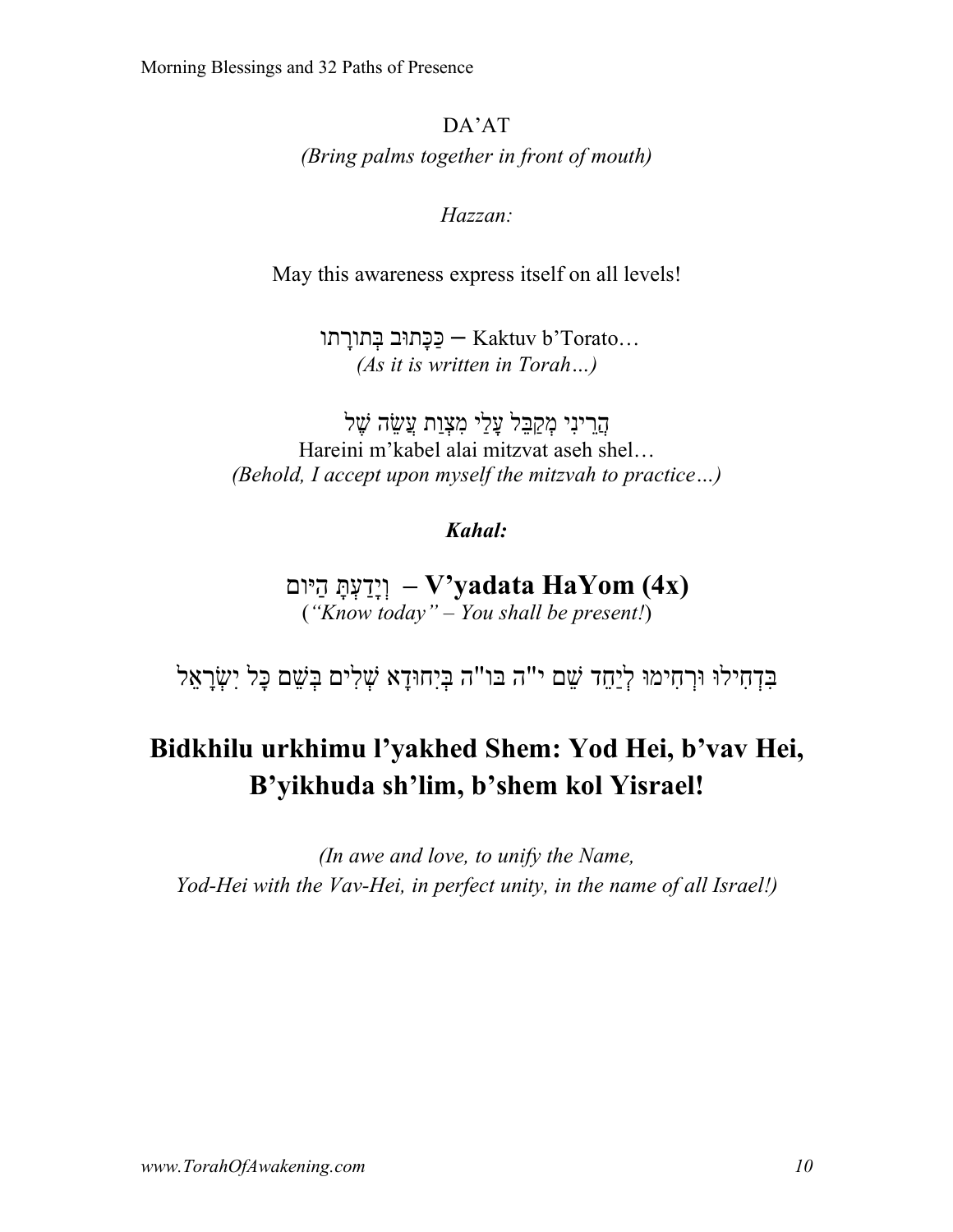DA'AT *(Bring palms together in front of mouth)*

*Hazzan:*

May this awareness express itself on all levels!

בַּכַּתוּּב בָּתוֹרַתוּ $-$ Kaktuv b'Torato... *(As it is written in Torah…)*

הַרִינִי מִקַבָּל עֲלֵי מִצְוַת עֲשֶׂה שֶׁל Hareini m'kabel alai mitzvat aseh shel… *(Behold, I accept upon myself the mitzvah to practice…)*

*Kahal:*

**(x4 (HaYom yadata'V** *–* ָתְּעַדָיְו םויַּה (*"Know today" – You shall be present!*)

בִּדְחָילוּ וּרְחִימוּ לְיַחֵד שֵׁם י"ה בּו"ה בִּיְחוּדַא שָׁלִים בִּשֶׁם כָּל יְשָׂרָאֵל

# **Bidkhilu urkhimu l'yakhed Shem: Yod Hei, b'vav Hei, B'yikhuda sh'lim, b'shem kol Yisrael!**

*(In awe and love, to unify the Name, Yod-Hei with the Vav-Hei, in perfect unity, in the name of all Israel!)*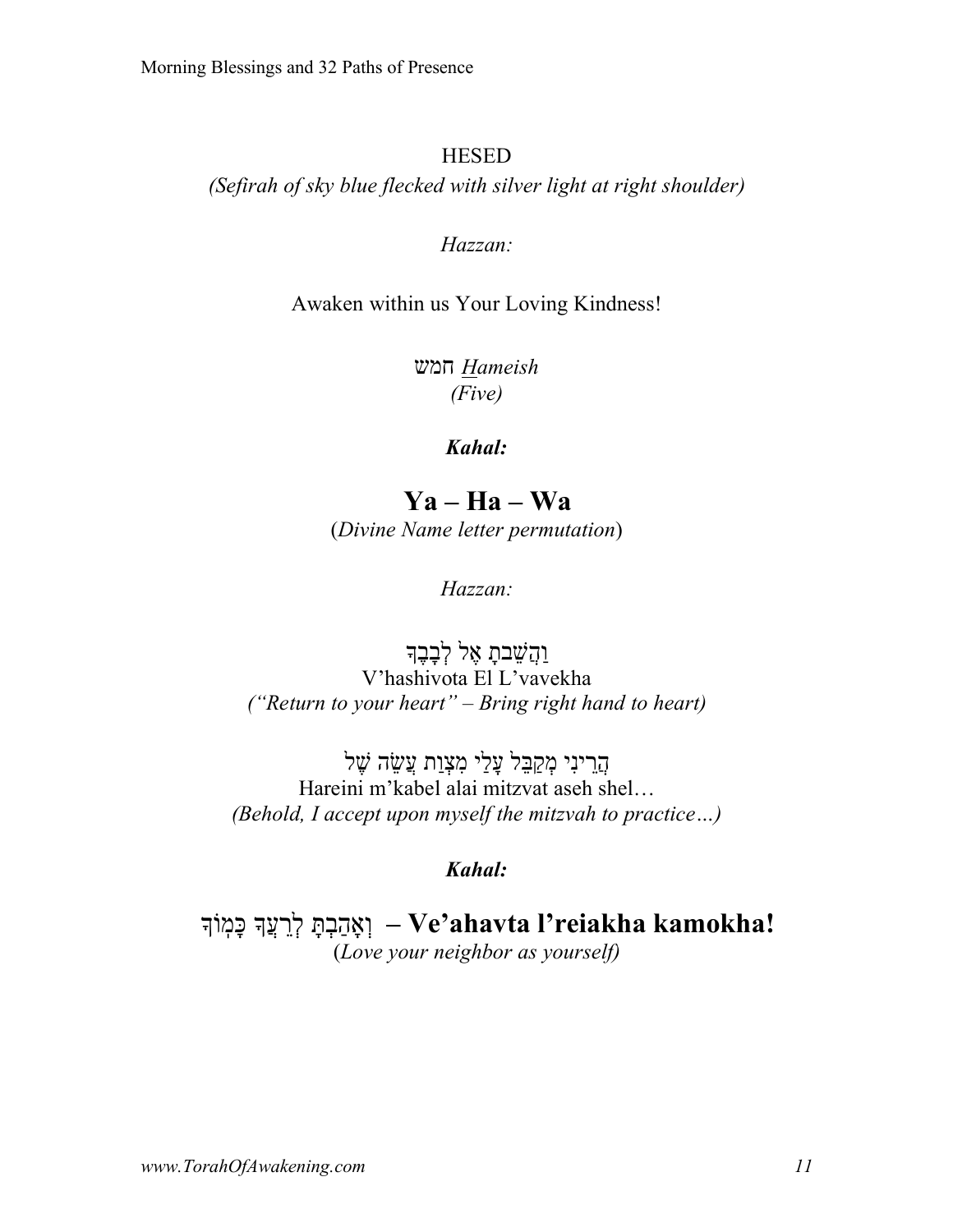#### **HESED**

*(Sefirah of sky blue flecked with silver light at right shoulder)*

#### *Hazzan:*

Awaken within us Your Loving Kindness!

*Hameish* שמח *(Five)*

#### *Kahal:*

**Ya – Ha – Wa** (*Divine Name letter permutation*)

*Hazzan:*

**וַהֲשֵׁבתָ אֶל לְבָבֶ**ד V'hashivota El L'vavekha *("Return to your heart" – Bring right hand to heart)*

יִניֵרֲה לֵבַּקְמ יַלָע תַוְצִמ הֵשֲׂע לֶשׁ Hareini m'kabel alai mitzvat aseh shel… *(Behold, I accept upon myself the mitzvah to practice…)*

#### *Kahal:*

**!kamokha reiakha'l ahavta'Ve** *–* ָתְּבַהאְָו ךֲעֵרְל ךוֹֽמָכּ (*Love your neighbor as yourself)*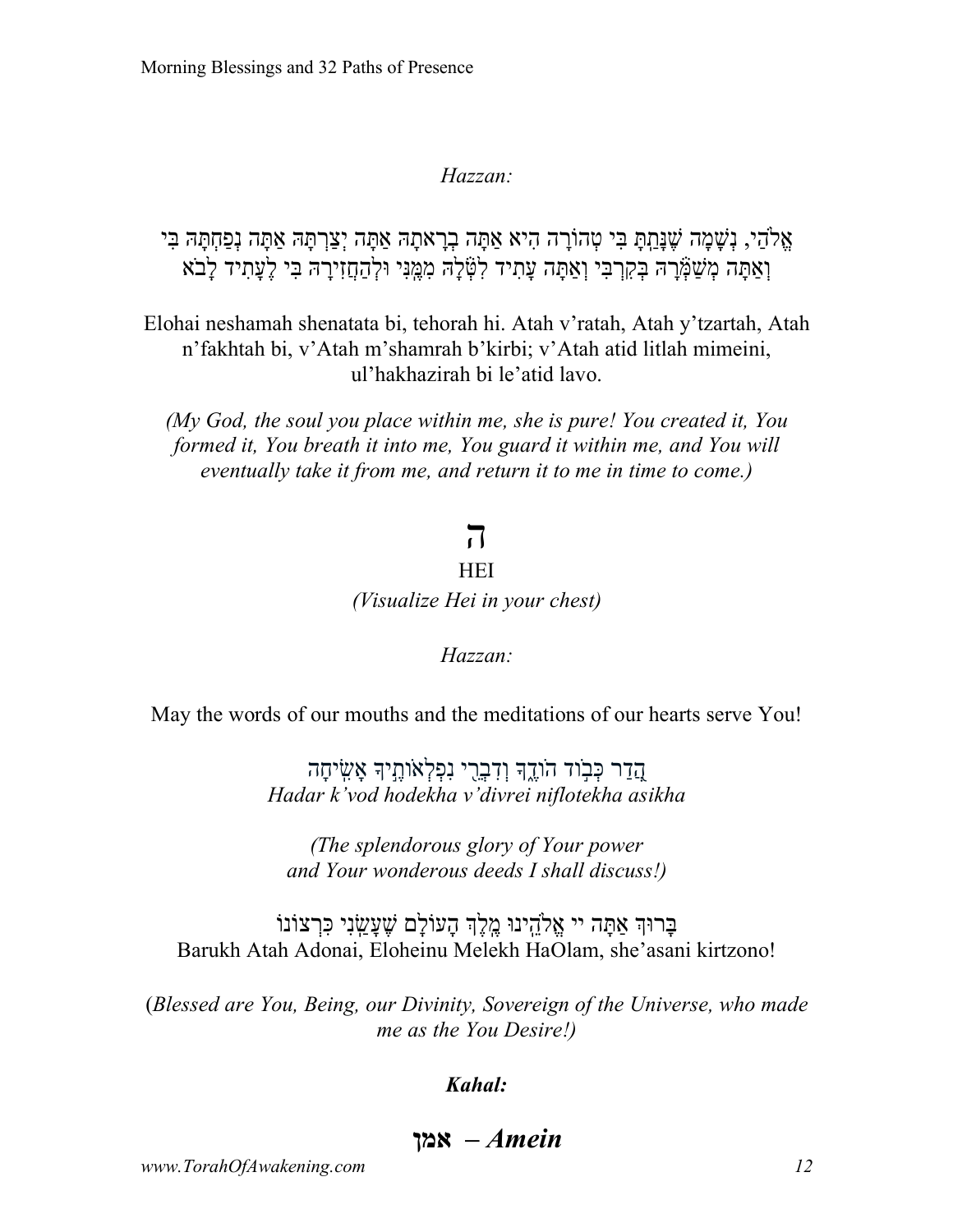אֵלְהֶי, נִשָּׁמָּה שֵׁנָּתַתָּ בִּי טִהוֹרָה הִיא אַתַּה בְרַאתָה אַתָּה יִצַּרְתַּה אַתָּה בְּי וְאַתַּה מְשָׁמָּרָה בְּקִרְבִּי וְאַתַּה עַתִ*יד לְטָֿלֵה מְמֵ*נִּי וּלְהַחֲזִירַהּ בִּי לֵעֲתִיד לַבֹא

Elohai neshamah shenatata bi, tehorah hi. Atah v'ratah, Atah y'tzartah, Atah n'fakhtah bi, v'Atah m'shamrah b'kirbi; v'Atah atid litlah mimeini, ul'hakhazirah bi le'atid lavo.

*(My God, the soul you place within me, she is pure! You created it, You formed it, You breath it into me, You guard it within me, and You will eventually take it from me, and return it to me in time to come.)*

# ה

#### **HEI**

*(Visualize Hei in your chest)*

*Hazzan:*

May the words of our mouths and the meditations of our hearts serve You!

*asikha niflotekha divrei'v hodekha vod'k Hadar* ֲ֭ה ַדר ְכּ ֣בֹוד הֹוֶ֑דך ְו ִד ְבֵ֖רי נִ ְפ ְלאֹוֶ֣תיך ָא ִ ֽשׂי ָחה

*(The splendorous glory of Your power and Your wonderous deeds I shall discuss!)*

בִּרוּךְ אִתַּה יי אֱלֹהִינוּ מֱלֵךְ הַעוֹלַם שֶׁעֲשָׂני כּרְצוֹנוֹ Barukh Atah Adonai, Eloheinu Melekh HaOlam, she'asani kirtzono!

(*Blessed are You, Being, our Divinity, Sovereign of the Universe, who made me as the You Desire!)*

#### *Kahal:*

*Amein –* **ןמא**

*www.TorahOfAwakening.com 12*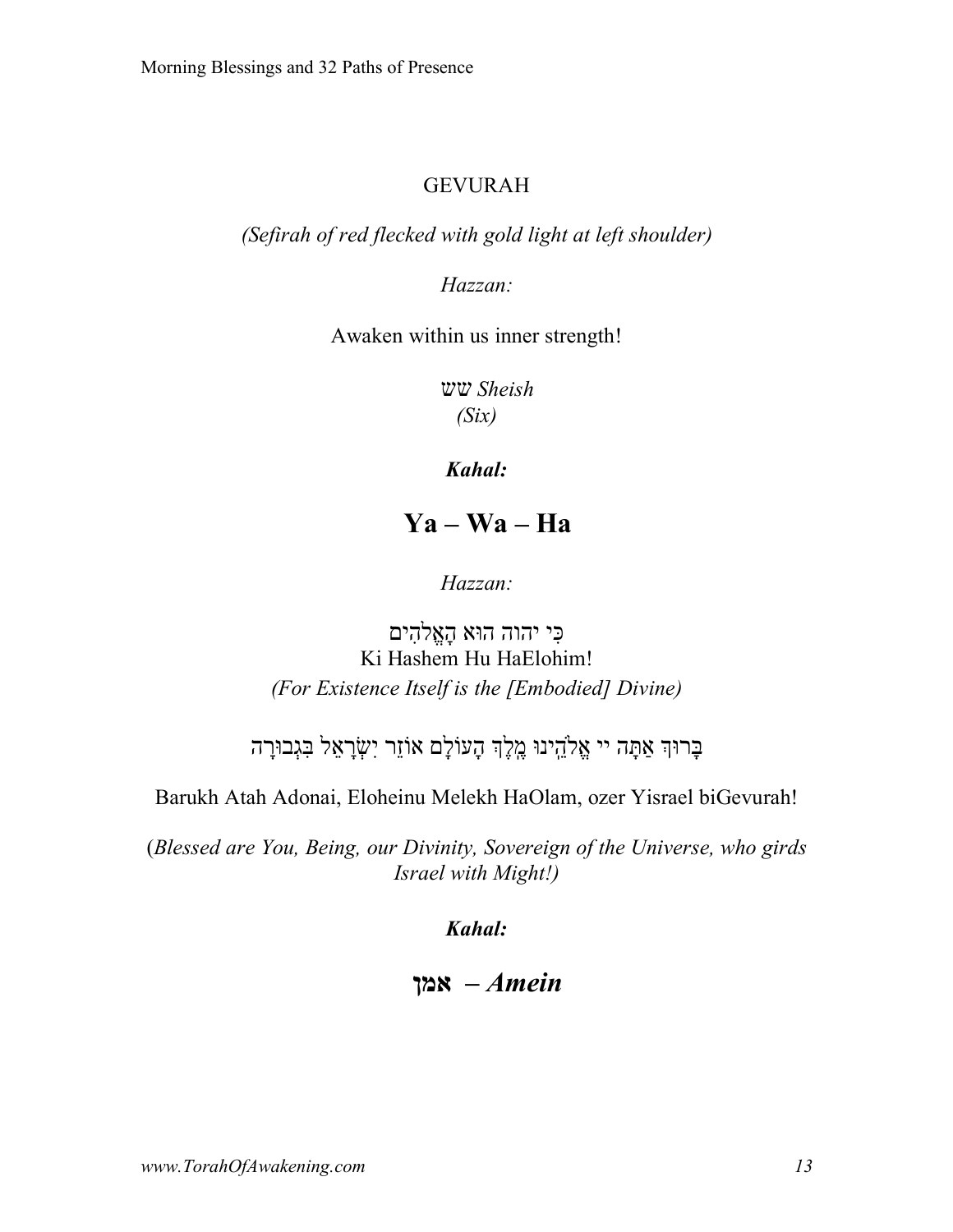### GEVURAH

*(Sefirah of red flecked with gold light at left shoulder)*

*Hazzan:*

Awaken within us inner strength!

 *Sheish* שש *(Six)*

*Kahal:*

**Ya – Wa – Ha**

*Hazzan:*

כּי יהוה הוּא הַאֱלֹהים Ki Hashem Hu HaElohim! *(For Existence Itself is the [Embodied] Divine)*

בְּרוּךְ אַתַּה יי אֱלֹהֳינוּ מֵלֵךְ הַעוֹלַם אוֹזֶר יְשָׂרַאֱל בְּגְבוּרַה

Barukh Atah Adonai, Eloheinu Melekh HaOlam, ozer Yisrael biGevurah!

(*Blessed are You, Being, our Divinity, Sovereign of the Universe, who girds Israel with Might!)*

*Kahal:*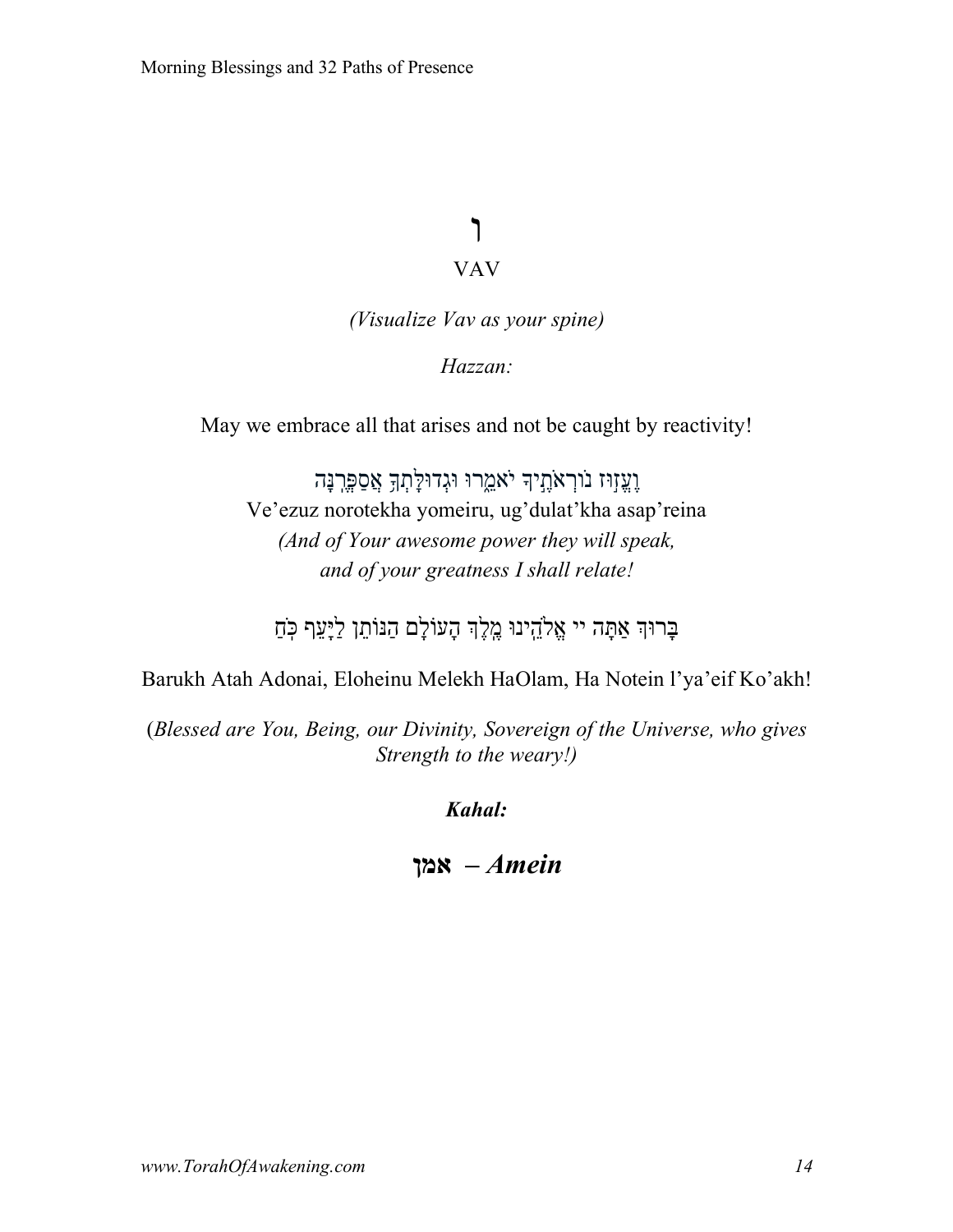# ו VAV

*(Visualize Vav as your spine)*

*Hazzan:*

May we embrace all that arises and not be caught by reactivity!

וֶעֱזְוּז נֹוְרָאֹתֲיִךְ יֹאמֵרוּ וּגְדוּלָתְךָ אֲסַפֶּרְנָּה Ve'ezuz norotekha yomeiru, ug'dulat'kha asap'reina *(And of Your awesome power they will speak, and of your greatness I shall relate!*

ּבָרוּךְ אַתָּה יי אֱלֹהֵינוּ מֶלֶךְ הָעוֹלָם הַנּוֹתֵן לַיָּעֵף כְּחַ

Barukh Atah Adonai, Eloheinu Melekh HaOlam, Ha Notein l'ya'eif Ko'akh!

(*Blessed are You, Being, our Divinity, Sovereign of the Universe, who gives Strength to the weary!)*

*Kahal:*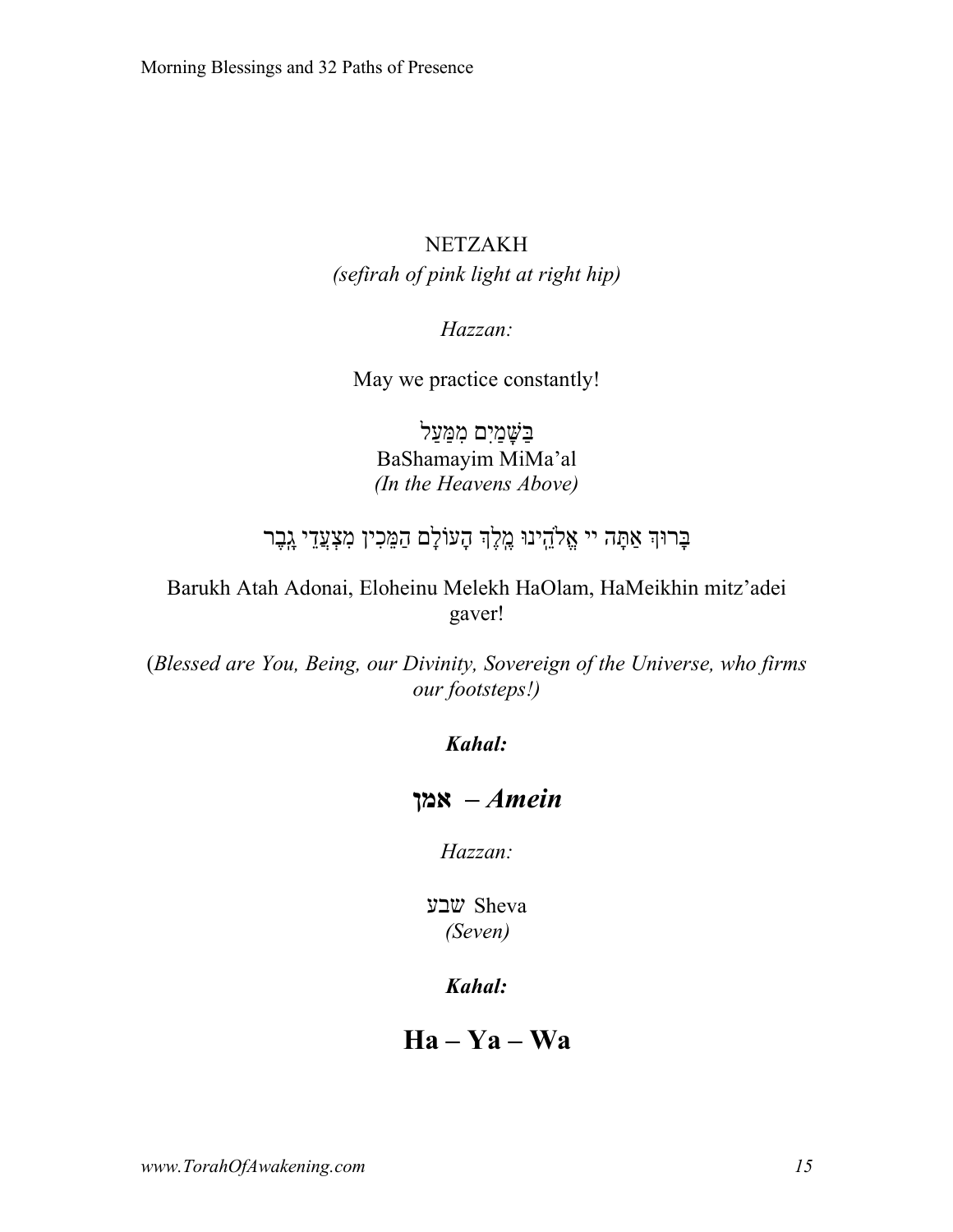### NETZAKH *(sefirah of pink light at right hip)*

*Hazzan:*

May we practice constantly!

בּשַׁמים ממעל BaShamayim MiMa'al *(In the Heavens Above)*

# ּבָרוּךָ אַתָּה יי אֱלֹהֵינוּ מֶלֶךְ הָעוֹלָם הַמֵּכִין מִצְעֲדֵי גָבֶר

### Barukh Atah Adonai, Eloheinu Melekh HaOlam, HaMeikhin mitz'adei gaver!

(*Blessed are You, Being, our Divinity, Sovereign of the Universe, who firms our footsteps!)*

#### *Kahal:*

### *Amein –* **ןמא**

*Hazzan:*

Sheva עבש *(Seven)*

#### *Kahal:*

**Ha – Ya – Wa**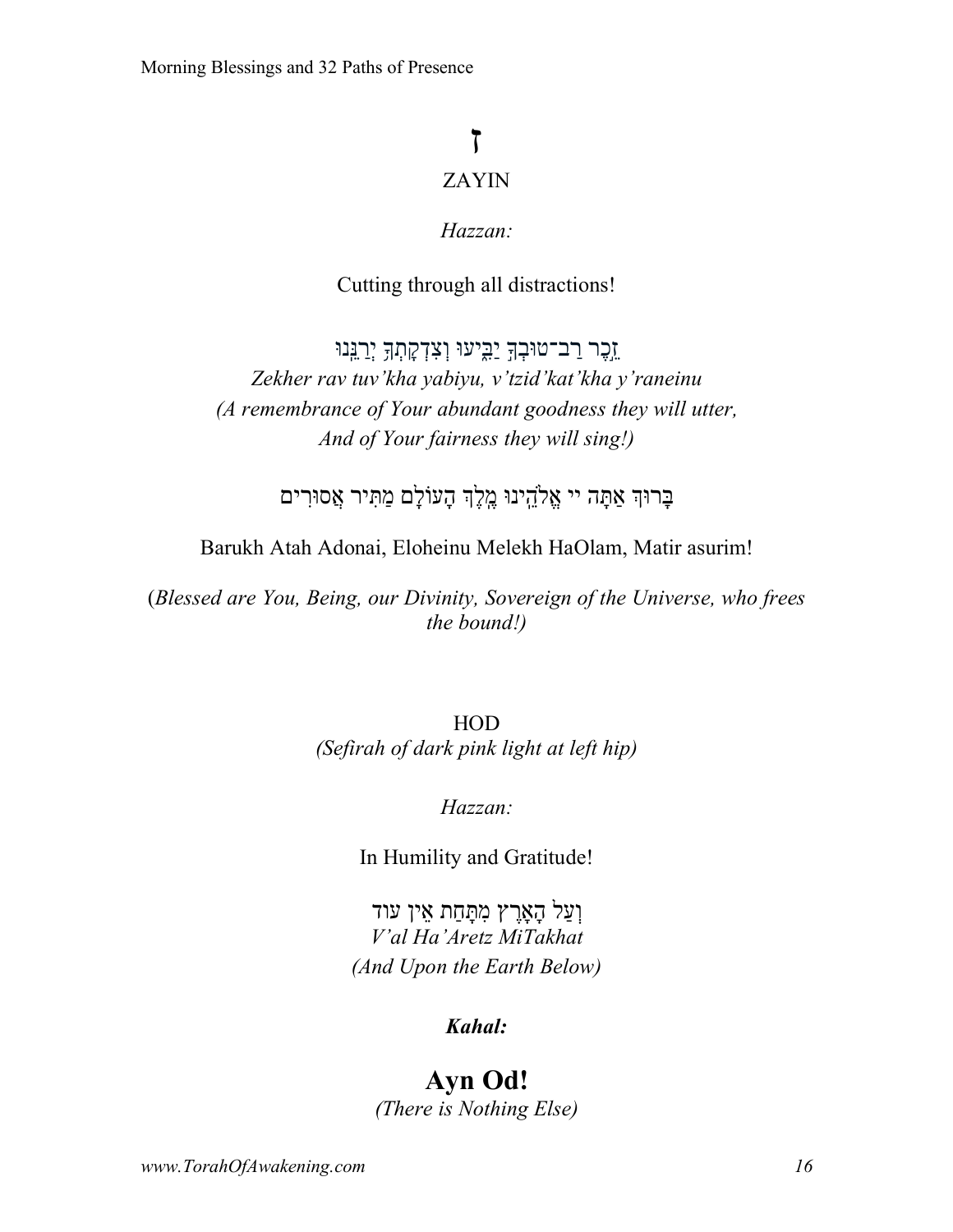# ז ZAYIN

### *Hazzan:*

### Cutting through all distractions!

ַזְכֶר רַב־טוּבְךָ יַבִּיעוּ וְצִדְקָתְךָ יְרַ<mark>י</mark>ְּנוּ *Zekher rav tuv'kha yabiyu, v'tzid'kat'kha y'raneinu (A remembrance of Your abundant goodness they will utter, And of Your fairness they will sing!)*

ּבָרוּךְ אַתָּה יי אֱלֹהֱיִנוּ מֵלֵךְ הָעוֹלָם מַתִּיר אֲסוּרִים

Barukh Atah Adonai, Eloheinu Melekh HaOlam, Matir asurim!

(*Blessed are You, Being, our Divinity, Sovereign of the Universe, who frees the bound!)*

> HOD *(Sefirah of dark pink light at left hip)*

### *Hazzan:*

In Humility and Gratitude!

וְעַל הַאֲרֶץ מִתַּחַת אִין עוד *V'al Ha'Aretz MiTakhat (And Upon the Earth Below)*

### *Kahal:*

# **Ayn Od!**

*(There is Nothing Else)*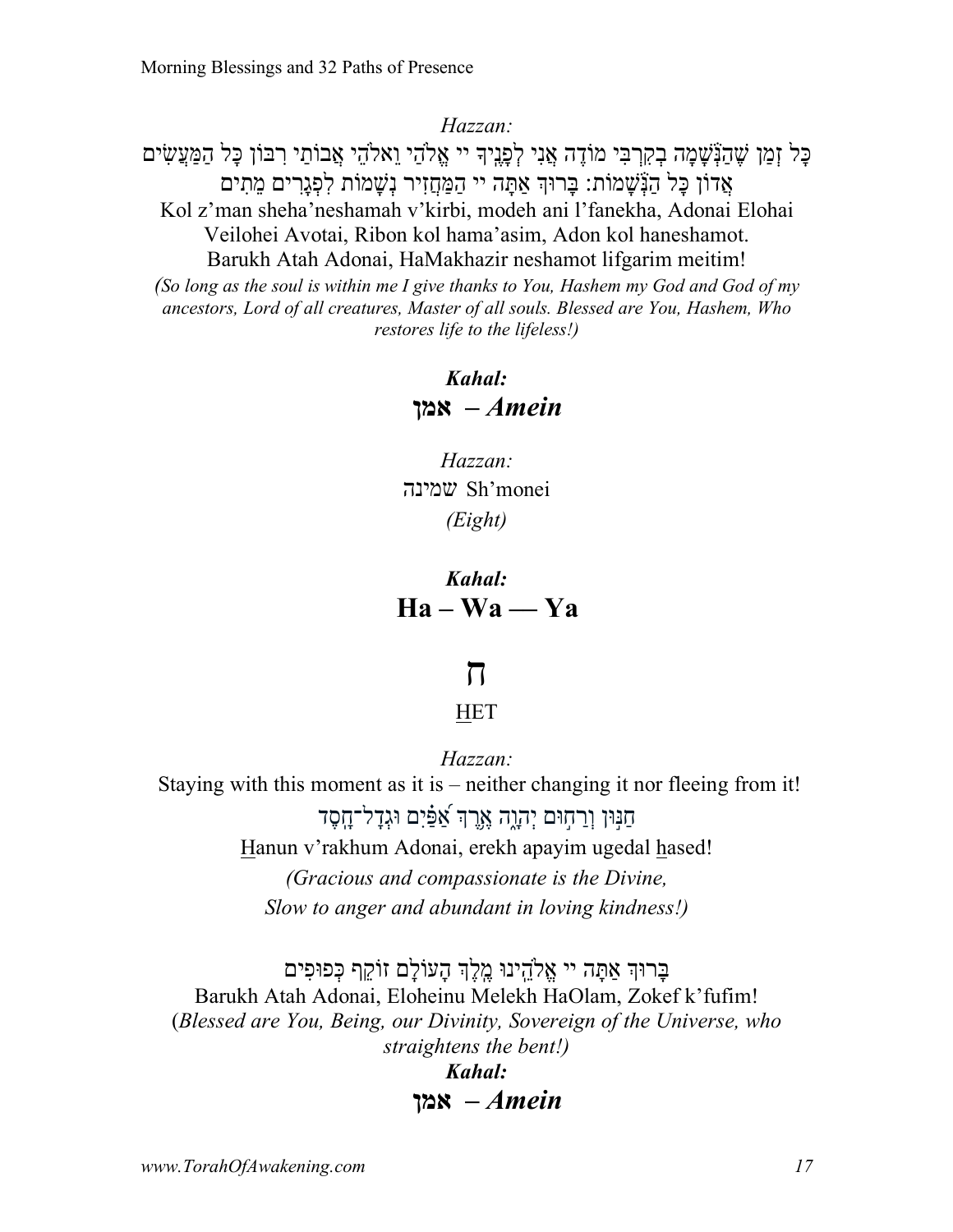ָּכָל זְמַן שֶׁהַנְּשָׁמָה בְקִרְבִּי מוֹדֶה אֲנִי לְפָנְיִךְ יי אֱלֹהַי וֵאלֹהֵי אֲבוֹתַי רִבּוֹן כָּל הַמַּעֲשִׂים אַדוֹן כָּל הַנְּשָׁמוֹת: בָּרוּךְ אַתָּה יי הַמַּחַזִיר נִשָּׁמוֹת לִפְגַרִים מֵתִים Kol z'man sheha'neshamah v'kirbi, modeh ani l'fanekha, Adonai Elohai Veilohei Avotai, Ribon kol hama'asim, Adon kol haneshamot. Barukh Atah Adonai, HaMakhazir neshamot lifgarim meitim! *(So long as the soul is within me I give thanks to You, Hashem my God and God of my ancestors, Lord of all creatures, Master of all souls. Blessed are You, Hashem, Who restores life to the lifeless!)*

> *Kahal: Amein –* **ןמא**

*Hazzan:* הנימש Sh'monei *(Eight)*

*Kahal:* **Ha – Wa –– Ya**

# ח

### HET

*Hazzan:*

Staying with this moment as it is – neither changing it nor fleeing from it!

חנּוּן וְרחוּם יְהָוֶה אֶרֶךְ א<sup>ָפִ</sup>ּים וּגְדל־חֻסֶד Hanun v'rakhum Adonai, erekh apayim ugedal hased! *(Gracious and compassionate is the Divine, Slow to anger and abundant in loving kindness!)*

ּבַרוּךְ אַתַּה יי אֱלֹהֱינוּ מֵלֵךְ הַעוֹלַם זוֹקֵף כִּפוּפִים Barukh Atah Adonai, Eloheinu Melekh HaOlam, Zokef k'fufim! (*Blessed are You, Being, our Divinity, Sovereign of the Universe, who straightens the bent!) Kahal:*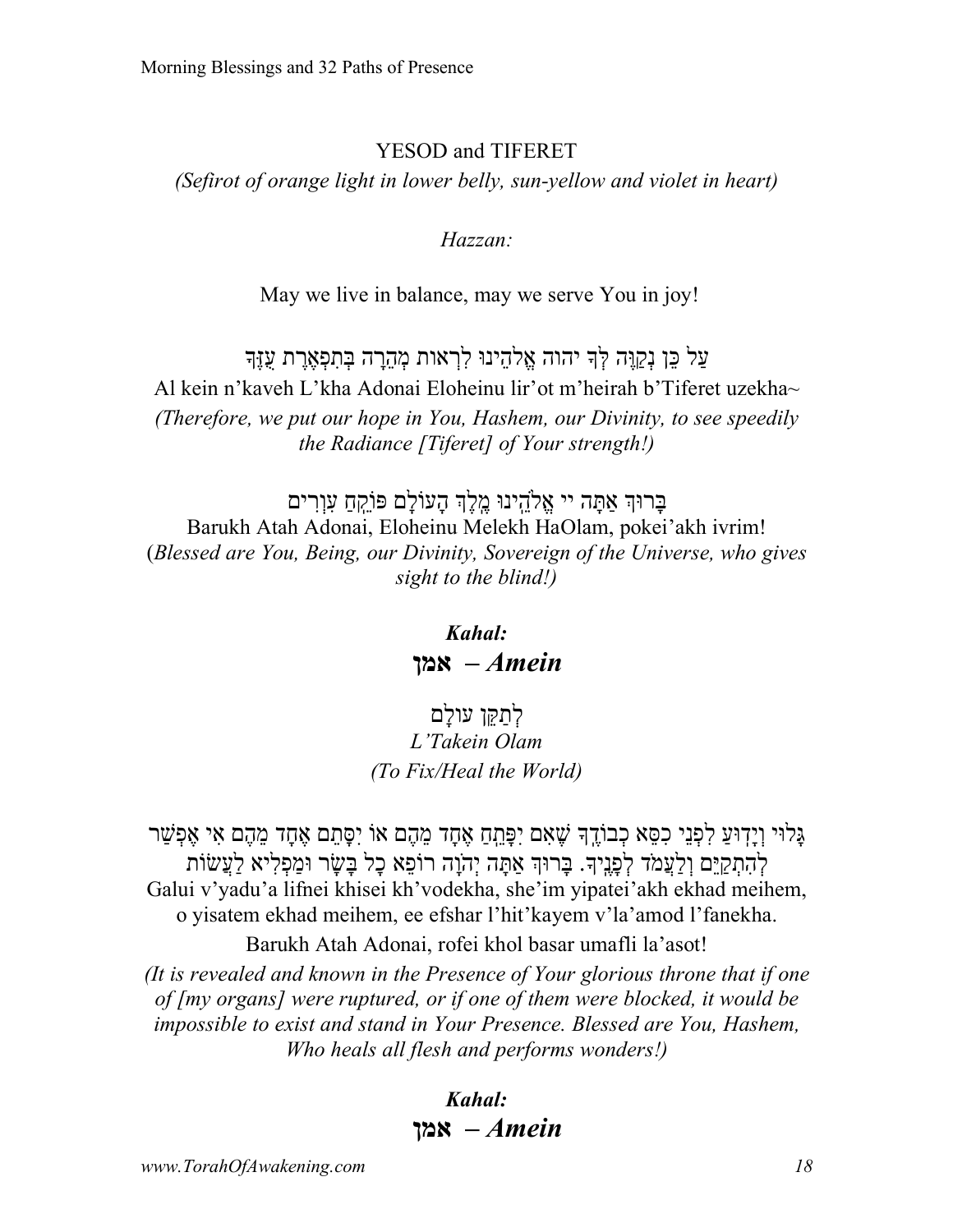#### YESOD and TIFERET

*(Sefirot of orange light in lower belly, sun-yellow and violet in heart)*

#### *Hazzan:*

May we live in balance, may we serve You in joy!

### ַעֲל כֵּן נִקְוֵּה לְּךָ יהוה אֱלֹהֶינוּ לִרְאות מְהֶרָה בְּתִפְאֶרֶת עָזֶךְ Al kein n'kaveh L'kha Adonai Eloheinu lir'ot m'heirah b'Tiferet uzekha~ *(Therefore, we put our hope in You, Hashem, our Divinity, to see speedily the Radiance [Tiferet] of Your strength!)*

בַּרוּךְ אַתַּה יי אֱלֹהֻינוּ מֵלֶךְ הַעוֹלַם פּוֹקֵתַ עָוְרִים Barukh Atah Adonai, Eloheinu Melekh HaOlam, pokei'akh ivrim! (*Blessed are You, Being, our Divinity, Sovereign of the Universe, who gives sight to the blind!)*

> *Kahal: Amein –* **ןמא**

לְתִקְן עולָם *L'Takein Olam (To Fix/Heal the World)*

ַגַּלוּי וְיַדְוּעַ לְפָנֵי כְסֵּא כְבוֹדֳֵךְ שֵׁאָם יִפָּתֵֽתָ אֶחֲד מֶהֶם אֵוֹ יִסַּתֵּם אֱחָד מֶהֶם אִי אֶפְשַׁר לְהַתִּקִיּם וְלִעֲמֹד לְפַנֵיךָּ. בַּרוּךְ אַתַּה יְהֹוֵה רוֹפֹא כַל בַּשַׂר וּמִפְלִיא לְעֲשׂוֹת Galui v'yadu'a lifnei khisei kh'vodekha, she'im yipatei'akh ekhad meihem, o yisatem ekhad meihem, ee efshar l'hit'kayem v'la'amod l'fanekha.

Barukh Atah Adonai, rofei khol basar umafli la'asot!

*(It is revealed and known in the Presence of Your glorious throne that if one of [my organs] were ruptured, or if one of them were blocked, it would be impossible to exist and stand in Your Presence. Blessed are You, Hashem, Who heals all flesh and performs wonders!)*

### *Kahal: Amein –* **ןמא**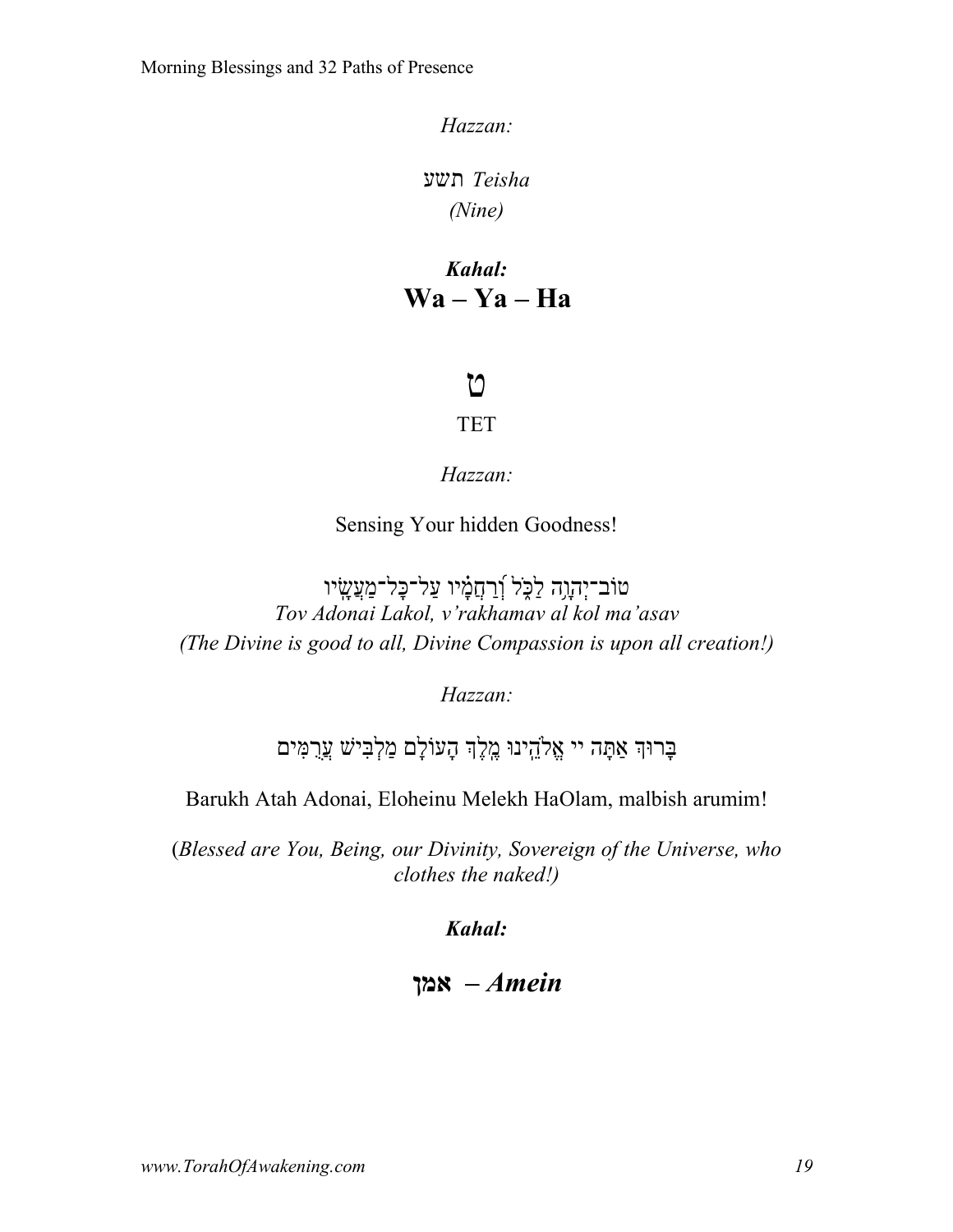*Teisha* עשת *(Nine)*

*Kahal:* **Wa – Ya – Ha**

# ט

#### TET

*Hazzan:*

Sensing Your hidden Goodness!

טוֹב־יְהָוָה לַכְּל וְֿרַחֲמָ֫יו עַל־כָּל־מַעֲשָׂיו *Tov Adonai Lakol, v'rakhamav al kol ma'asav (The Divine is good to all, Divine Compassion is upon all creation!)*

*Hazzan:*

בַּרוּךְ אַתַּה יי אֱלֹהֳינוּ מֵלֵךְ הַעוֹלַם מַלְבִּישׁ עֲרָמִּים

Barukh Atah Adonai, Eloheinu Melekh HaOlam, malbish arumim!

(*Blessed are You, Being, our Divinity, Sovereign of the Universe, who clothes the naked!)*

*Kahal:*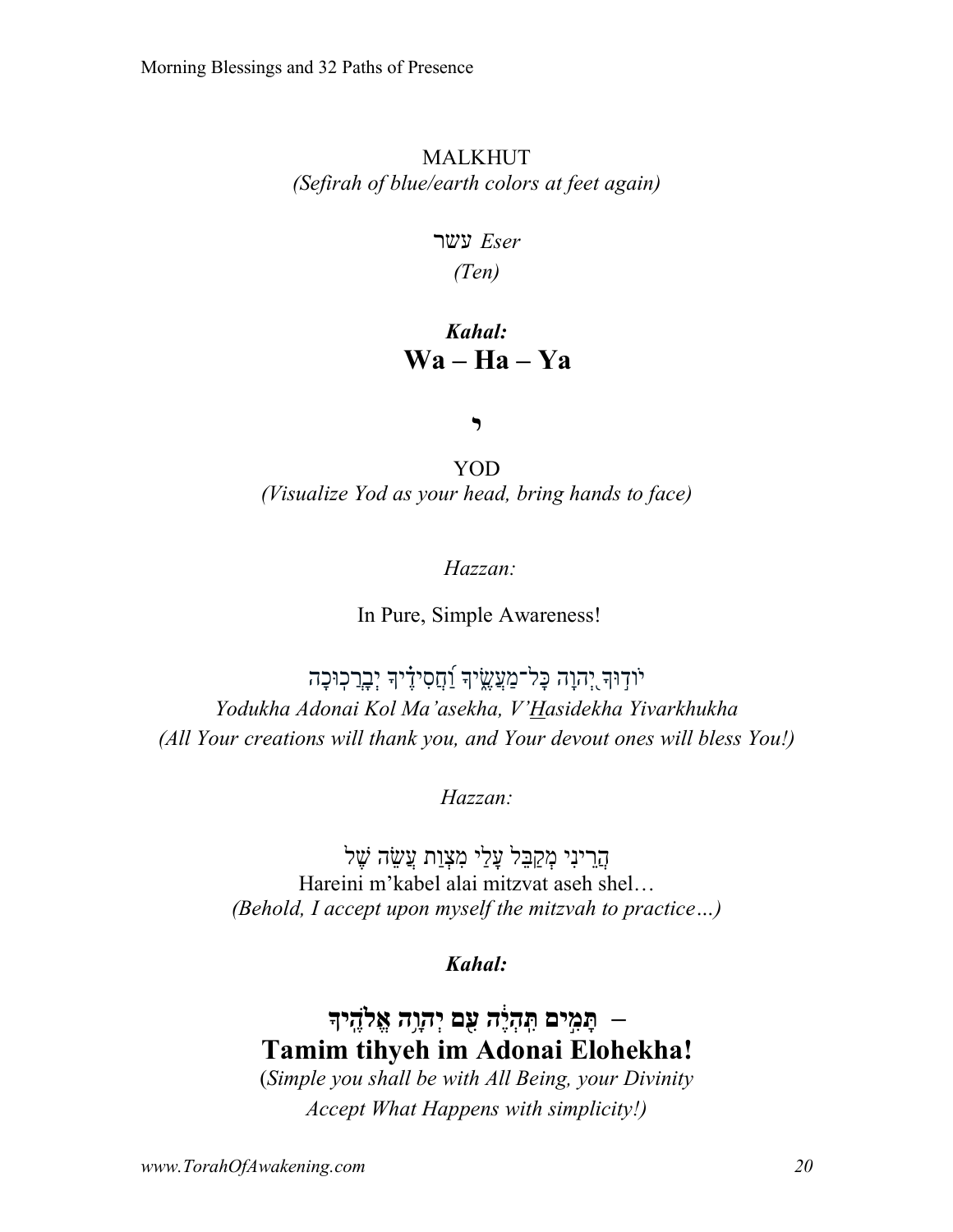### MALKHUT *(Sefirah of blue/earth colors at feet again)*

 *Eser* רשע

*(Ten)*

# *Kahal:* **Wa – Ha – Ya**

י

YOD *(Visualize Yod as your head, bring hands to face)*

*Hazzan:*

In Pure, Simple Awareness!

יֹוֹדְוּךָ יְהוָה כָּל־מַעֲשֵׂיךָ וַׁחֲסִידֶיךָ יְבָרֲכוּכָה *Yodukha Adonai Kol Ma'asekha, V'Hasidekha Yivarkhukha (All Your creations will thank you, and Your devout ones will bless You!)*

*Hazzan:*

הַרִינִי מִקַבָּל עֲלֵי מִצְוַת עֲשֶׂה שֶׁל Hareini m'kabel alai mitzvat aseh shel… *(Behold, I accept upon myself the mitzvah to practice…)*

*Kahal:*

# *–* **ָתּ ִ֣מים ִ ֽתּ ְה֔יֶה ִ֖עם יְהָ֥וה ֱאל ֶ ֽהיך Tamim tihyeh im Adonai Elohekha!**

(*Simple you shall be with All Being, your Divinity Accept What Happens with simplicity!)*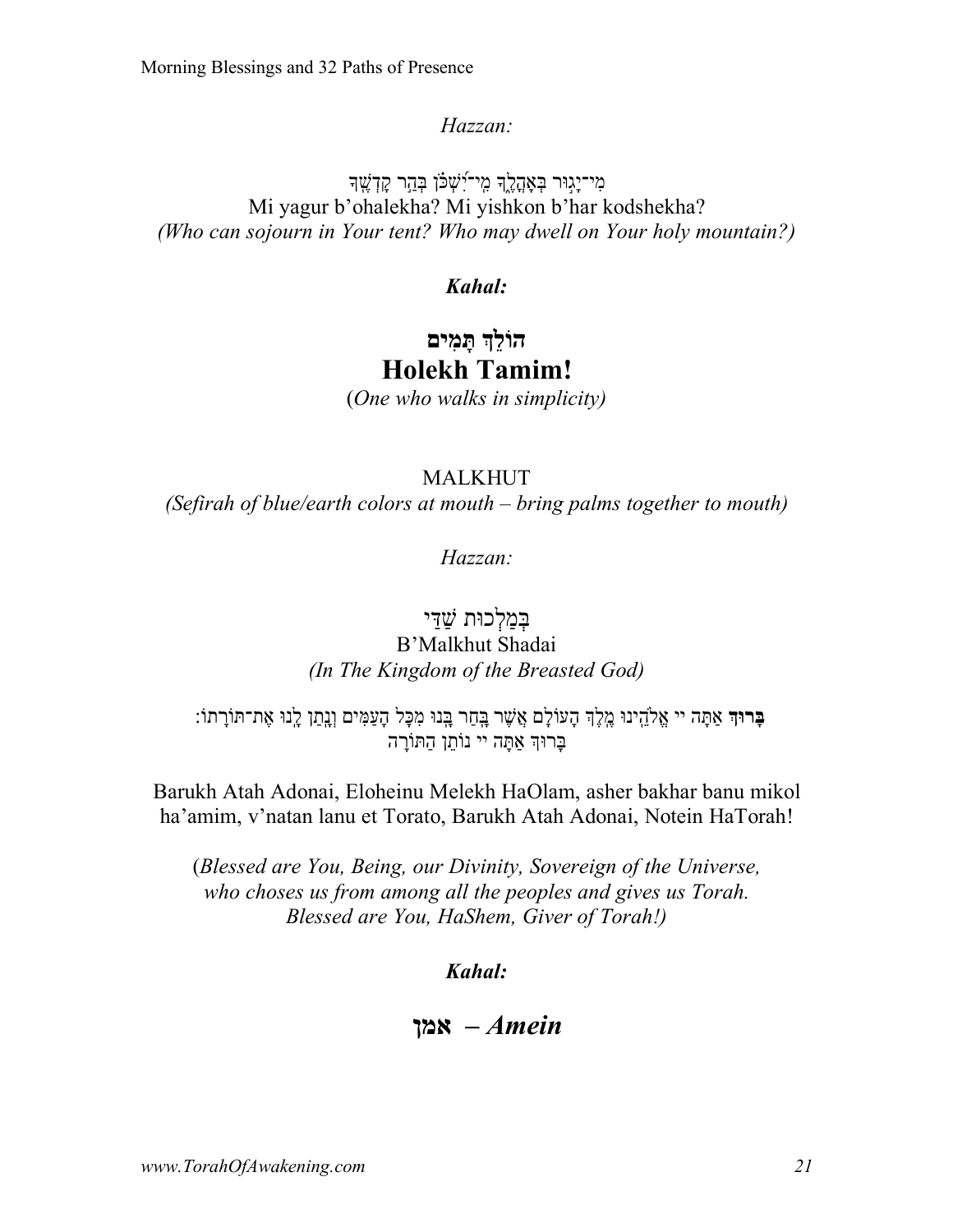מִי־יַגוּר בְּאַהֲלֵךְ מֵי־יִּשֽׁכֹּן בְּהֵר קַדְשֵׁךְ Mi yagur b'ohalekha? Mi yishkon b'har kodshekha? *(Who can sojourn in Your tent? Who may dwell on Your holy mountain?)*

### *Kahal:*

# **ךֵלוֹה םיִמָתּ Holekh Tamim!**

(*One who walks in simplicity)*

### MALKHUT

*(Sefirah of blue/earth colors at mouth – bring palms together to mouth)*

*Hazzan:*

### בִמַלְכוּת שׁדִּי B'Malkhut Shadai *(In The Kingdom of the Breasted God)*

**בָּרוּדְ אַתָּה יי אֱלֹהֵינוּ מֶלֶךְ הָעוֹלָם אֲשֶׁר בָּתַר בָּנוּ מִכָּל הָעַמִּים וָנָתַן לָנוּ אֶת־תּוֹרָתוֹ** בְּרוּךְ אַתַּה יי נוֹתן הַתּוֹרַה

Barukh Atah Adonai, Eloheinu Melekh HaOlam, asher bakhar banu mikol ha'amim, v'natan lanu et Torato, Barukh Atah Adonai, Notein HaTorah!

(*Blessed are You, Being, our Divinity, Sovereign of the Universe, who choses us from among all the peoples and gives us Torah. Blessed are You, HaShem, Giver of Torah!)*

*Kahal:*